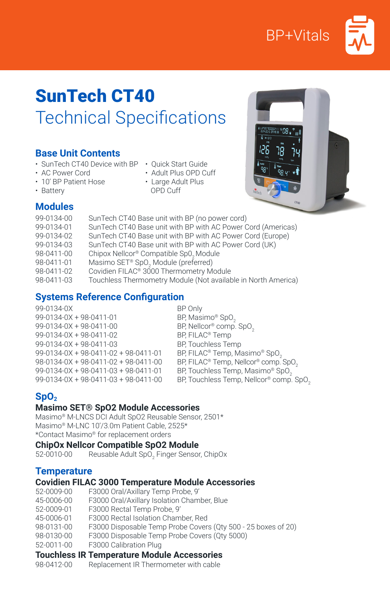



# SunTech CT40 Technical Specifications

### **Base Unit Contents**

- SunTech CT40 Device with BP Quick Start Guide
- 
- AC Power Cord
- Adult Plus OPD Cuff
- 10' BP Patient Hose
- Large Adult Plus

• Battery

- OPD Cuff
- 

# **Modules**

| 99-0134-00 | SunTech CT40 Base unit with BP (no power cord)                |
|------------|---------------------------------------------------------------|
| 99-0134-01 | SunTech CT40 Base unit with BP with AC Power Cord (Americas)  |
| 99-0134-02 | SunTech CT40 Base unit with BP with AC Power Cord (Europe)    |
| 99-0134-03 | SunTech CT40 Base unit with BP with AC Power Cord (UK)        |
| 98-0411-00 | Chipox Nellcor® Compatible Sp0, Module                        |
| 98-0411-01 | Masimo SET <sup>®</sup> SpO <sub>2</sub> Module (preferred)   |
| 98-0411-02 | Covidien FILAC <sup>®</sup> 3000 Thermometry Module           |
| 98-0411-03 | Touchless Thermometry Module (Not available in North America) |
|            |                                                               |

# **Systems Reference Configuration**

| 99-0134-0X                           | BP Only                                               |
|--------------------------------------|-------------------------------------------------------|
| 99-0134-0X + 98-0411-01              | BP, Masimo® SpO <sub>2</sub>                          |
| 99-0134-0X + 98-0411-00              | BP, Nellcor® comp. SpO <sub>2</sub>                   |
| 99-0134-0X + 98-0411-02              | BP, FILAC <sup>®</sup> Temp                           |
| 99-0134-0X + 98-0411-03              | <b>BP, Touchless Temp</b>                             |
| 99-0134-0X + 98-0411-02 + 98-0411-01 | BP, FILAC <sup>®</sup> Temp, Masimo® SpO <sub>2</sub> |
| 98-0134-0X + 98-0411-02 + 98-0411-00 | BP, FILAC® Temp, Nellcor® comp. 9                     |
| 99-0134-0X + 98-0411-03 + 98-0411-01 | BP, Touchless Temp, Masimo® Sp                        |
| 99-0134-0X + 98-0411-03 + 98-0411-00 | BP. Touchless Temp. Nellcor® con                      |

P Only P, Masimo® SpO<sub>2</sub> P, Nellcor® comp. SpO<sub>2</sub> P. FILAC® Temp P, Touchless Temp P, FILAC® Temp, Nellcor® comp. SpO2 P, Touchless Temp, Masimo® SpO<sub>2</sub> P, Touchless Temp, Nellcor® comp. SpO<sub>2</sub>

# **SpO**<sub>2</sub>

#### **Masimo SET® SpO2 Module Accessories**

Masimo® M-LNCS DCI Adult SpO2 Reusable Sensor, 2501\* Masimo® M-LNC 10'/3.0m Patient Cable, 2525\* \*Contact Masimo® for replacement orders

# **ChipOx Nellcor Compatible SpO2 Module**<br>52-0010-00 Reusable Adult SpO<sub>2</sub> Finger Sensor

52-0010-00 Reusable Adult SpO<sub>2</sub> Finger Sensor, ChipOx

#### **Temperature**

#### **Covidien FILAC 3000 Temperature Module Accessories**

52-0009-00 F3000 Oral/Axillary Temp Probe, 9' 45-0006-00 F3000 Oral/Axillary Isolation Chamber, Blue 52-0009-01 F3000 Rectal Temp Probe, 9' 45-0006-01 F3000 Rectal Isolation Chamber, Red F3000 Disposable Temp Probe Covers (Qty 500 - 25 boxes of 20) 98-0130-00 F3000 Disposable Temp Probe Covers (Qty 5000)<br>52-0011-00 F3000 Calibration Plug F3000 Calibration Plug

# **Touchless IR Temperature Module Accessories**

Replacement IR Thermometer with cable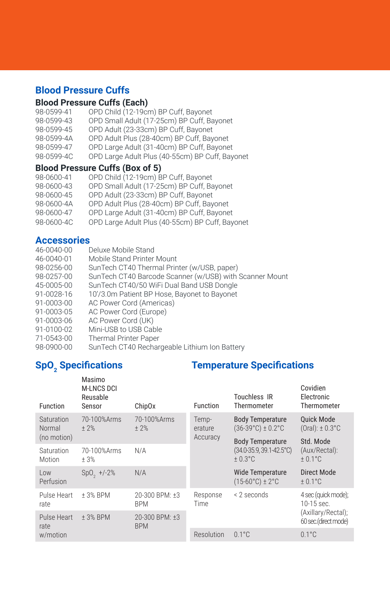# **Blood Pressure Cuffs**

## **Blood Pressure Cuffs (Each)**

| 98-0599-41 | OPD Child (12-19cm) BP Cuff, Bayonet            |
|------------|-------------------------------------------------|
| 98-0599-43 | OPD Small Adult (17-25cm) BP Cuff, Bayonet      |
| 98-0599-45 | OPD Adult (23-33cm) BP Cuff, Bayonet            |
| 98-0599-4A | OPD Adult Plus (28-40cm) BP Cuff, Bayonet       |
| 98-0599-47 | OPD Large Adult (31-40cm) BP Cuff, Bayonet      |
| 98-0599-4C | OPD Large Adult Plus (40-55cm) BP Cuff, Bayonet |

#### **Blood Pressure Cuffs (Box of 5)**

| OPD Child (12-19cm) BP Cuff, Bayonet            |
|-------------------------------------------------|
| OPD Small Adult (17-25cm) BP Cuff, Bayonet      |
| OPD Adult (23-33cm) BP Cuff, Bayonet            |
| OPD Adult Plus (28-40cm) BP Cuff, Bayonet       |
| OPD Large Adult (31-40cm) BP Cuff, Bayonet      |
| OPD Large Adult Plus (40-55cm) BP Cuff, Bayonet |
|                                                 |

## **Accessories**

| 46-0040-00 | Deluxe Mobile Stand                                     |
|------------|---------------------------------------------------------|
| 46-0040-01 | Mobile Stand Printer Mount                              |
| 98-0256-00 | SunTech CT40 Thermal Printer (w/USB, paper)             |
| 98-0257-00 | SunTech CT40 Barcode Scanner (w/USB) with Scanner Mount |
| 45-0005-00 | SunTech CT40/50 WiFi Dual Band USB Dongle               |
| 91-0028-16 | 10'/3.0m Patient BP Hose, Bayonet to Bayonet            |
| 91-0003-00 | AC Power Cord (Americas)                                |
| 91-0003-05 | AC Power Cord (Europe)                                  |
| 91-0003-06 | AC Power Cord (UK)                                      |
| 91-0100-02 | Mini-USB to USB Cable                                   |
| 71-0543-00 | <b>Thermal Printer Paper</b>                            |
| 98-0900-00 | SunTech CT40 Rechargeable Lithium Ion Battery           |

# **SpO2 Specifications Temperature Specifications**

| <b>Function</b>      | Masimo<br><b>M-LNCS DCI</b><br>Reusable<br>Sensor | Chip <sub>Ox</sub>           | Function         | Touchless IR<br>Thermometer                                      | Covidien<br>Electronic<br>Thermometer      |
|----------------------|---------------------------------------------------|------------------------------|------------------|------------------------------------------------------------------|--------------------------------------------|
| Saturation<br>Normal | 70-100% Arms<br>$+2%$                             | 70-100% Arms<br>± 2%         | Temp-<br>erature | <b>Body Temperature</b><br>$(36-39^{\circ}C) \pm 0.2^{\circ}C$   | <b>Ouick Mode</b><br>$(Oral): \pm 0.3$ °C  |
| (no motion)          |                                                   |                              | Accuracy         | <b>Body Temperature</b><br>(34.0-35.9, 39.1-42.5°C)<br>$+0.3$ °C | Std. Mode<br>(Aux/Rectal):<br>$± 0.1$ °C   |
| Saturation<br>Motion | 70-100% Arms<br>±3%                               | N/A                          |                  |                                                                  |                                            |
| Low<br>Perfusion     | $SpO, +/-2%$                                      | N/A                          |                  | <b>Wide Temperature</b><br>$(15-60^{\circ}C) \pm 2^{\circ}C$     | Direct Mode<br>$± 0.1$ °C                  |
| Pulse Heart<br>rate  | +3% BPM                                           | 20-300 BPM: ±3<br><b>BPM</b> | Response<br>Time | < 2 seconds                                                      | 4 sec (quick mode);<br>10-15 sec.          |
| Pulse Heart<br>rate  | +3% BPM                                           | 20-300 BPM: ±3<br><b>BPM</b> |                  |                                                                  | (Axillary/Rectal);<br>60 sec.(direct mode) |
| w/motion             |                                                   |                              | Resolution       | $0.1^{\circ}$ C                                                  | $0.1^{\circ}$ C                            |
|                      |                                                   |                              |                  |                                                                  |                                            |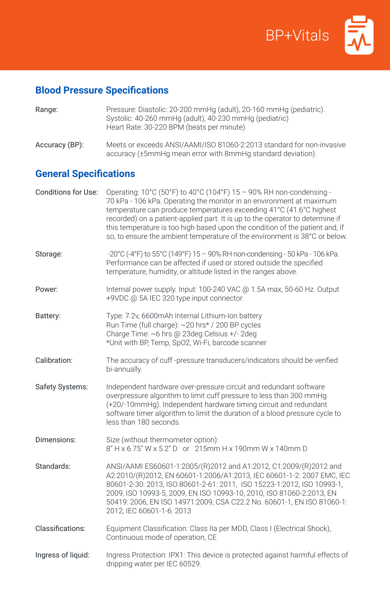

# **Blood Pressure Specifications**

| Accuracy (BP):                | Meets or exceeds ANSI/AAMI/ISO 81060-2:2013 standard for non-invasive<br>accuracy (±5mmHg mean error with 8mmHg standard deviation).                                                                                                                                                                                                                                                                                                                              |
|-------------------------------|-------------------------------------------------------------------------------------------------------------------------------------------------------------------------------------------------------------------------------------------------------------------------------------------------------------------------------------------------------------------------------------------------------------------------------------------------------------------|
| <b>General Specifications</b> |                                                                                                                                                                                                                                                                                                                                                                                                                                                                   |
| Conditions for Use:           | Operating: 10°C (50°F) to 40°C (104°F) 15 - 90% RH non-condensing -<br>70 kPa - 106 kPa. Operating the monitor in an environment at maximum<br>temperature can produce temperatures exceeding 41°C (41.6°C highest<br>recorded) on a patient-applied part. It is up to the operator to determine if<br>this temperature is too high based upon the condition of the patient and, if<br>so, to ensure the ambient temperature of the environment is 38°C or below. |
| Storage:                      | -20°C (-4°F) to 55°C (149°F) 15 - 90% RH non-condensing - 50 kPa - 106 kPa.<br>Performance can be affected if used or stored outside the specified<br>temperature, humidity, or altitude listed in the ranges above.                                                                                                                                                                                                                                              |
| Power:                        | Internal power supply. Input: 100-240 VAC @ 1.5A max, 50-60 Hz. Output<br>+9VDC @ 5A IEC 320 type input connector.                                                                                                                                                                                                                                                                                                                                                |
| Battery:                      | Type: 7.2v, 6600mAh Internal Lithium-Ion battery<br>Run Time (full charge): ~20 hrs* / 200 BP cycles<br>Charge Time: ~6 hrs @ 23deg Celsius +/- 2deg<br>*Unit with BP, Temp, SpO2, Wi-Fi, barcode scanner                                                                                                                                                                                                                                                         |
| Calibration:                  | The accuracy of cuff-pressure transducers/indicators should be verified<br>bi-annually.                                                                                                                                                                                                                                                                                                                                                                           |
| Safety Systems:               | Independent hardware over-pressure circuit and redundant software<br>overpressure algorithm to limit cuff pressure to less than 300 mmHg<br>(+20/-10mmHg). Independent hardware timing circuit and redundant<br>software timer algorithm to limit the duration of a blood pressure cycle to<br>less than 180 seconds                                                                                                                                              |
| Dimensions:                   | Size (without thermometer option):<br>8" H x 6.75" W x 5.2" D or 215mm H x 190mm W x 140mm D                                                                                                                                                                                                                                                                                                                                                                      |
| Standards:                    | ANSI/AAMI ES60601-1:2005/(R)2012 and A1:2012, C1:2009/(R)2012 and<br>A2:2010/(R)2012, EN 60601-1:2006/A1:2013, IEC 60601-1-2: 2007 EMC, IEC<br>80601-2-30: 2013, ISO 80601-2-61: 2011, ISO 15223-1:2012, ISO 10993-1,<br>2009, ISO 10993-5, 2009, EN ISO 10993-10, 2010, ISO 81060-2:2013, EN<br>50419: 2006, EN ISO 14971:2009, CSA C22.2 No. 60601-1, EN ISO 81060-1:<br>2012, IEC 60601-1-6: 2013                                                              |
| Classifications:              | Equipment Classification: Class IIa per MDD, Class I (Electrical Shock),<br>Continuous mode of operation, CE                                                                                                                                                                                                                                                                                                                                                      |
| Ingress of liquid:            | Ingress Protection: IPX1: This device is protected against harmful effects of<br>dripping water per IEC 60529.                                                                                                                                                                                                                                                                                                                                                    |

Range: Pressure: Diastolic: 20-200 mmHg (adult), 20-160 mmHg (pediatric). Systolic: 40-260 mmHg (adult), 40-230 mmHg (pediatric)

Heart Rate: 30-220 BPM (beats per minute)